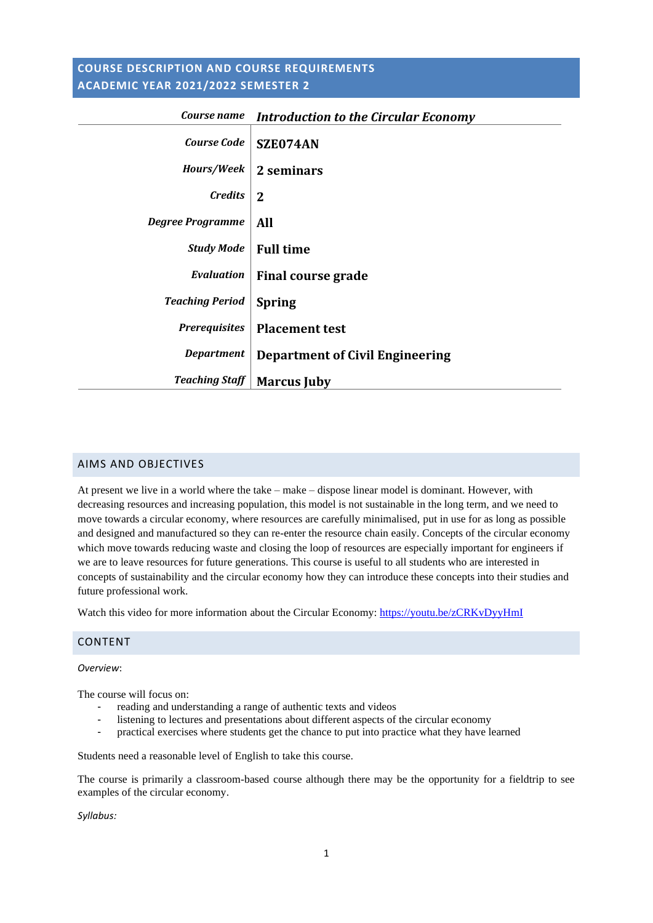## **COURSE DESCRIPTION AND COURSE REQUIREMENTS ACADEMIC YEAR 2021/2022 SEMESTER 2**

| Course name             | <b>Introduction to the Circular Economy</b> |
|-------------------------|---------------------------------------------|
| Course Code             | SZE074AN                                    |
| Hours/Week              | 2 seminars                                  |
| <b>Credits</b>          | $\overline{2}$                              |
| <b>Degree Programme</b> | All                                         |
| <b>Study Mode</b>       | <b>Full time</b>                            |
| <b>Evaluation</b>       | <b>Final course grade</b>                   |
| <b>Teaching Period</b>  | <b>Spring</b>                               |
| <b>Prerequisites</b>    | <b>Placement test</b>                       |
| Department              | <b>Department of Civil Engineering</b>      |
| <b>Teaching Staff</b>   | <b>Marcus Juby</b>                          |

#### AIMS AND OBJECTIVES

At present we live in a world where the take – make – dispose linear model is dominant. However, with decreasing resources and increasing population, this model is not sustainable in the long term, and we need to move towards a circular economy, where resources are carefully minimalised, put in use for as long as possible and designed and manufactured so they can re-enter the resource chain easily. Concepts of the circular economy which move towards reducing waste and closing the loop of resources are especially important for engineers if we are to leave resources for future generations. This course is useful to all students who are interested in concepts of sustainability and the circular economy how they can introduce these concepts into their studies and future professional work.

Watch this video for more information about the Circular Economy:<https://youtu.be/zCRKvDyyHmI>

#### CONTENT

#### *Overview*:

The course will focus on:

- reading and understanding a range of authentic texts and videos
- listening to lectures and presentations about different aspects of the circular economy
- practical exercises where students get the chance to put into practice what they have learned

Students need a reasonable level of English to take this course.

The course is primarily a classroom-based course although there may be the opportunity for a fieldtrip to see examples of the circular economy.

*Syllabus:*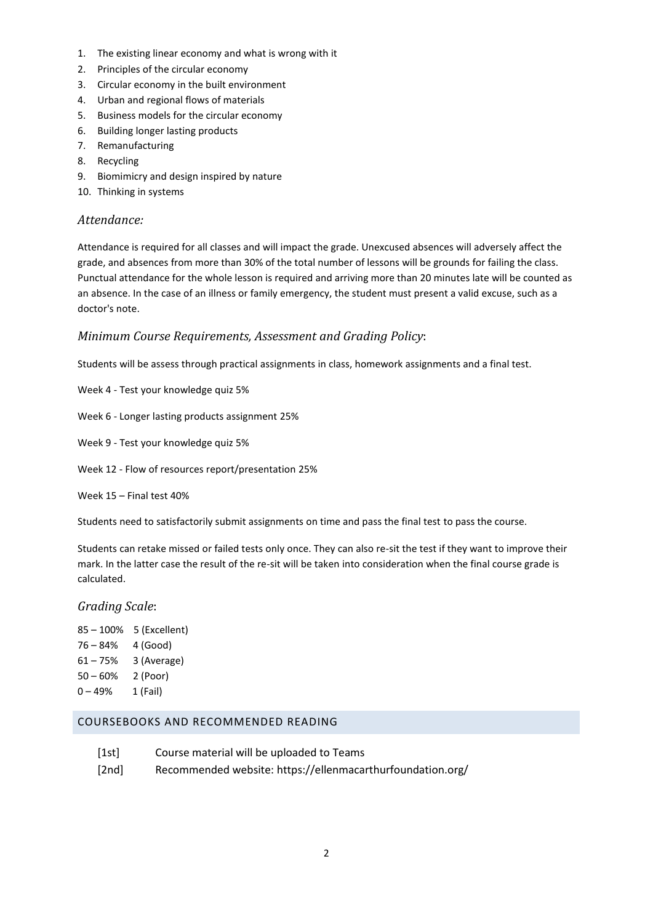- 1. The existing linear economy and what is wrong with it
- 2. Principles of the circular economy
- 3. Circular economy in the built environment
- 4. Urban and regional flows of materials
- 5. Business models for the circular economy
- 6. Building longer lasting products
- 7. Remanufacturing
- 8. Recycling
- 9. Biomimicry and design inspired by nature
- 10. Thinking in systems

### *Attendance:*

Attendance is required for all classes and will impact the grade. Unexcused absences will adversely affect the grade, and absences from more than 30% of the total number of lessons will be grounds for failing the class. Punctual attendance for the whole lesson is required and arriving more than 20 minutes late will be counted as an absence. In the case of an illness or family emergency, the student must present a valid excuse, such as a doctor's note.

## *Minimum Course Requirements, Assessment and Grading Policy*:

Students will be assess through practical assignments in class, homework assignments and a final test.

Week 4 - Test your knowledge quiz 5%

Week 6 - Longer lasting products assignment 25%

Week 9 - Test your knowledge quiz 5%

Week 12 - Flow of resources report/presentation 25%

Week 15 – Final test 40%

Students need to satisfactorily submit assignments on time and pass the final test to pass the course.

Students can retake missed or failed tests only once. They can also re-sit the test if they want to improve their mark. In the latter case the result of the re-sit will be taken into consideration when the final course grade is calculated.

#### *Grading Scale*:

85 – 100% 5 (Excellent)  $76 - 84\%$  4 (Good) 61 – 75% 3 (Average) 50 – 60% 2 (Poor)  $0 - 49% 1$  (Fail)

#### COURSEBOOKS AND RECOMMENDED READING

- [1st] Course material will be uploaded to Teams
- [2nd] Recommended website: https://ellenmacarthurfoundation.org/